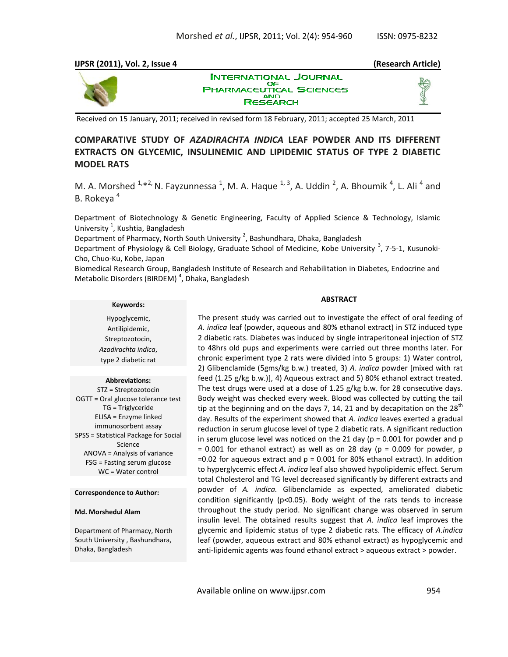### **IJPSR (2011), Vol. 2, Issue 4 (Research Article)**



**INTERNATIONAL JOURNAL** ОF UTICAL SCIENCES **PHARMACE RESEARCH** 

Received on 15 January, 2011; received in revised form 18 February, 2011; accepted 25 March, 2011

# **COMPARATIVE STUDY OF** *AZADIRACHTA INDICA* **LEAF POWDER AND ITS DIFFERENT EXTRACTS ON GLYCEMIC, INSULINEMIC AND LIPIDEMIC STATUS OF TYPE 2 DIABETIC MODEL RATS**

M. A. Morshed  $1, *2$ , N. Fayzunnessa  $1, M$ . A. Haque  $1, 3$ , A. Uddin  $2$ , A. Bhoumik  $4$ , L. Ali  $4$  and B. Rokeva<sup>4</sup>

Department of Biotechnology & Genetic Engineering, Faculty of Applied Science & Technology, Islamic University<sup>1</sup>, Kushtia, Bangladesh

Department of Pharmacy, North South University  $^2$ , Bashundhara, Dhaka, Bangladesh

Department of Physiology & Cell Biology, Graduate School of Medicine, Kobe University <sup>3</sup>, 7-5-1, Kusunoki-Cho, Chuo-Ku, Kobe, Japan

Biomedical Research Group, Bangladesh Institute of Research and Rehabilitation in Diabetes, Endocrine and Metabolic Disorders (BIRDEM)<sup>4</sup>, Dhaka, Bangladesh

#### **Keywords:**

Hypoglycemic, Antilipidemic, Streptozotocin, *Azadirachta indica*, type 2 diabetic rat

#### **Abbreviations:**

STZ = Streptozotocin OGTT = Oral glucose tolerance test TG = Triglyceride ELISA = Enzyme linked immunosorbent assay SPSS = Statistical Package for Social Science ANOVA = Analysis of variance FSG = Fasting serum glucose WC = Water control

#### **Correspondence to Author:**

#### **Md. Morshedul Alam**

Department of Pharmacy, North South University , Bashundhara, Dhaka, Bangladesh

#### **ABSTRACT**

The present study was carried out to investigate the effect of oral feeding of *A. indica* leaf (powder, aqueous and 80% ethanol extract) in STZ induced type 2 diabetic rats. Diabetes was induced by single intraperitoneal injection of STZ to 48hrs old pups and experiments were carried out three months later. For chronic experiment type 2 rats were divided into 5 groups: 1) Water control, 2) Glibenclamide (5gms/kg b.w.) treated, 3) *A. indica* powder [mixed with rat feed (1.25 g/kg b.w.)], 4) Aqueous extract and 5) 80% ethanol extract treated. The test drugs were used at a dose of 1.25 g/kg b.w. for 28 consecutive days. Body weight was checked every week. Blood was collected by cutting the tail tip at the beginning and on the days 7, 14, 21 and by decapitation on the  $28<sup>th</sup>$ day. Results of the experiment showed that *A. indica* leaves exerted a gradual reduction in serum glucose level of type 2 diabetic rats. A significant reduction in serum glucose level was noticed on the 21 day ( $p = 0.001$  for powder and  $p$  $= 0.001$  for ethanol extract) as well as on 28 day ( $p = 0.009$  for powder, p  $=0.02$  for aqueous extract and  $p = 0.001$  for 80% ethanol extract). In addition to hyperglycemic effect *A. indica* leaf also showed hypolipidemic effect. Serum total Cholesterol and TG level decreased significantly by different extracts and powder of *A. indica.* Glibenclamide as expected, ameliorated diabetic condition significantly (p<0.05). Body weight of the rats tends to increase throughout the study period. No significant change was observed in serum insulin level. The obtained results suggest that *A. indica* leaf improves the glycemic and lipidemic status of type 2 diabetic rats. The efficacy of *A.indica* leaf (powder, aqueous extract and 80% ethanol extract) as hypoglycemic and anti-lipidemic agents was found ethanol extract > aqueous extract > powder.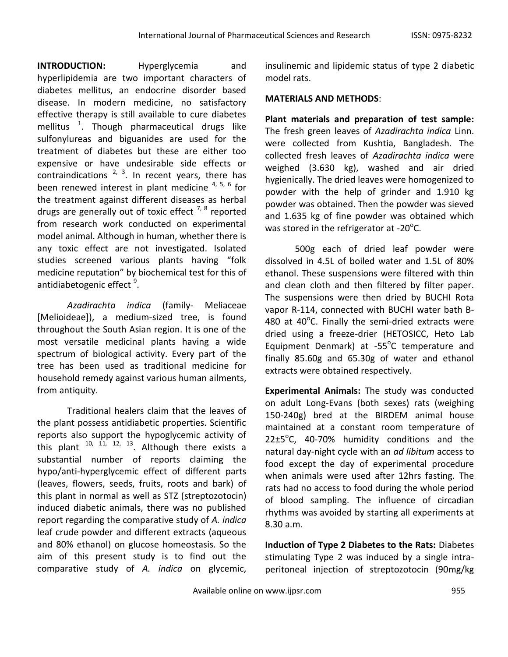**INTRODUCTION:** Hyperglycemia and hyperlipidemia are two important characters of diabetes mellitus, an endocrine disorder based disease. In modern medicine, no satisfactory effective therapy is still available to cure diabetes mellitus  $1$ . Though pharmaceutical drugs like sulfonylureas and biguanides are used for the treatment of diabetes but these are either too expensive or have undesirable side effects or contraindications  $2^{2}$ ,  $3^{3}$ . In recent years, there has been renewed interest in plant medicine  $4, 5, 6$  for the treatment against different diseases as herbal drugs are generally out of toxic effect  $^{7, 8}$  reported from research work conducted on experimental model animal. Although in human, whether there is any toxic effect are not investigated. Isolated studies screened various plants having "folk medicine reputation" by biochemical test for this of antidiabetogenic effect <sup>9</sup>.

*Azadirachta indica* (family- Meliaceae [Melioideae]), a medium-sized tree, is found throughout the South Asian region. It is one of the most versatile medicinal plants having a wide spectrum of biological activity. Every part of the tree has been used as traditional medicine for household remedy against various human ailments, from antiquity.

Traditional healers claim that the leaves of the plant possess antidiabetic properties. Scientific reports also support the hypoglycemic activity of this plant 10, 11*,* 12, 13 . Although there exists a substantial number of reports claiming the hypo/anti-hyperglycemic effect of different parts (leaves, flowers, seeds, fruits, roots and bark) of this plant in normal as well as STZ (streptozotocin) induced diabetic animals, there was no published report regarding the comparative study of *A. indica* leaf crude powder and different extracts (aqueous and 80% ethanol) on glucose homeostasis. So the aim of this present study is to find out the comparative study of *A. indica* on glycemic,

insulinemic and lipidemic status of type 2 diabetic model rats.

# **MATERIALS AND METHODS**:

**Plant materials and preparation of test sample:**  The fresh green leaves of *Azadirachta indica* Linn. were collected from Kushtia, Bangladesh. The collected fresh leaves of *Azadirachta indica* were weighed (3.630 kg), washed and air dried hygienically. The dried leaves were homogenized to powder with the help of grinder and 1.910 kg powder was obtained. Then the powder was sieved and 1.635 kg of fine powder was obtained which was stored in the refrigerator at -20 $^{\circ}$ C.

500g each of dried leaf powder were dissolved in 4.5L of boiled water and 1.5L of 80% ethanol. These suspensions were filtered with thin and clean cloth and then filtered by filter paper. The suspensions were then dried by BUCHI Rota vapor R-114, connected with BUCHI water bath B-480 at 40 $^{\circ}$ C. Finally the semi-dried extracts were dried using a freeze-drier (HETOSICC, Heto Lab Equipment Denmark) at -55°C temperature and finally 85.60g and 65.30g of water and ethanol extracts were obtained respectively.

**Experimental Animals:** The study was conducted on adult Long-Evans (both sexes) rats (weighing 150-240g) bred at the BIRDEM animal house maintained at a constant room temperature of  $22\pm5\textdegree$ C, 40-70% humidity conditions and the natural day-night cycle with an *ad libitum* access to food except the day of experimental procedure when animals were used after 12hrs fasting. The rats had no access to food during the whole period of blood sampling. The influence of circadian rhythms was avoided by starting all experiments at 8.30 a.m.

**Induction of Type 2 Diabetes to the Rats:** Diabetes stimulating Type 2 was induced by a single intraperitoneal injection of streptozotocin (90mg/kg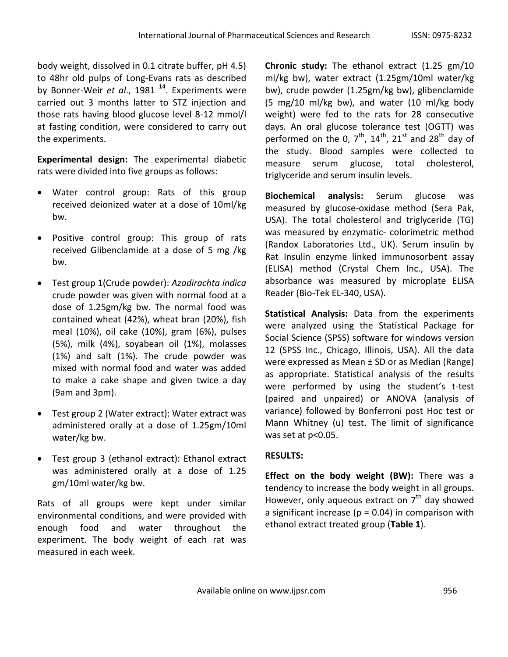body weight, dissolved in 0.1 citrate buffer, pH 4.5) to 48hr old pulps of Long-Evans rats as described by Bonner-Weir *et al.*, 1981<sup>14</sup>. Experiments were carried out 3 months latter to STZ injection and those rats having blood glucose level 8-12 mmol/l at fasting condition, were considered to carry out the experiments.

**Experimental design:** The experimental diabetic rats were divided into five groups as follows:

- Water control group: Rats of this group received deionized water at a dose of 10ml/kg bw.
- Positive control group: This group of rats received Glibenclamide at a dose of 5 mg /kg bw.
- Test group 1(Crude powder): *Azadirachta indica* crude powder was given with normal food at a dose of 1.25gm/kg bw. The normal food was contained wheat (42%), wheat bran (20%), fish meal (10%), oil cake (10%), gram (6%), pulses (5%), milk (4%), soyabean oil (1%), molasses (1%) and salt (1%). The crude powder was mixed with normal food and water was added to make a cake shape and given twice a day (9am and 3pm).
- Test group 2 (Water extract): Water extract was administered orally at a dose of 1.25gm/10ml water/kg bw.
- Test group 3 (ethanol extract): Ethanol extract was administered orally at a dose of 1.25 gm/10ml water/kg bw.

Rats of all groups were kept under similar environmental conditions, and were provided with enough food and water throughout the experiment. The body weight of each rat was measured in each week.

**Chronic study:** The ethanol extract (1.25 gm/10 ml/kg bw), water extract (1.25gm/10ml water/kg bw), crude powder (1.25gm/kg bw), glibenclamide (5 mg/10 ml/kg bw), and water (10 ml/kg body weight) were fed to the rats for 28 consecutive days. An oral glucose tolerance test (OGTT) was performed on the 0,  $7<sup>th</sup>$ ,  $14<sup>th</sup>$ ,  $21<sup>st</sup>$  and  $28<sup>th</sup>$  day of the study. Blood samples were collected to measure serum glucose, total cholesterol, triglyceride and serum insulin levels.

**Biochemical analysis:** Serum glucose was measured by glucose-oxidase method (Sera Pak, USA). The total cholesterol and triglyceride (TG) was measured by enzymatic- colorimetric method (Randox Laboratories Ltd., UK). Serum insulin by Rat Insulin enzyme linked immunosorbent assay (ELISA) method (Crystal Chem Inc., USA). The absorbance was measured by microplate ELISA Reader (Bio-Tek EL-340, USA).

**Statistical Analysis:** Data from the experiments were analyzed using the Statistical Package for Social Science (SPSS) software for windows version 12 (SPSS Inc., Chicago, Illinois, USA). All the data were expressed as Mean ± SD or as Median (Range) as appropriate. Statistical analysis of the results were performed by using the student's t-test (paired and unpaired) or ANOVA (analysis of variance) followed by Bonferroni post Hoc test or Mann Whitney (u) test. The limit of significance was set at p<0.05.

# **RESULTS:**

**Effect on the body weight (BW):** There was a tendency to increase the body weight in all groups. However, only aqueous extract on  $7<sup>th</sup>$  day showed a significant increase ( $p = 0.04$ ) in comparison with ethanol extract treated group (**Table 1**).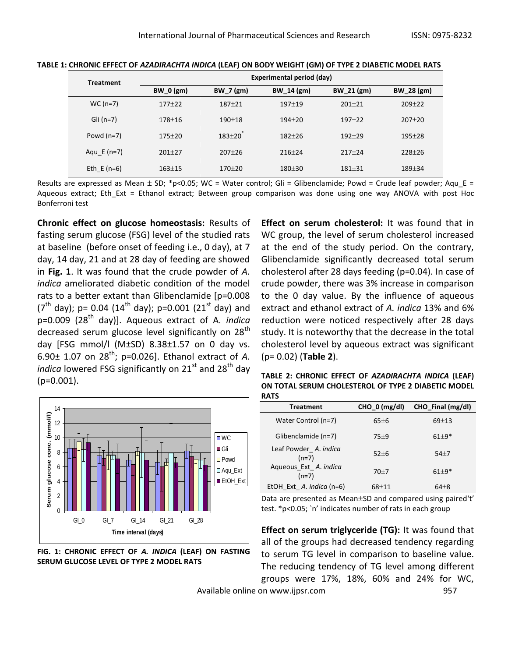|  | <b>Treatment</b> | Experimental period (day) |             |            |              |            |
|--|------------------|---------------------------|-------------|------------|--------------|------------|
|  |                  | <b>BW_0 (gm)</b>          | $BW_7$ (gm) | BW 14 (gm) | BW 21 $(gm)$ | BW 28 (gm) |
|  | $WC(n=7)$        | $177 + 22$                | $187 + 21$  | $197 + 19$ | $201 \pm 21$ | $209 + 22$ |
|  | Gli $(n=7)$      | $178 + 16$                | $190 + 18$  | $194 + 20$ | $197 + 22$   | $207+20$   |
|  | Powd $(n=7)$     | $175 + 20$                | $183 + 20$  | $182 + 26$ | $192 + 29$   | $195 + 28$ |
|  | Agu $E(n=7)$     | $201 \pm 27$              | $207 + 26$  | $216 + 24$ | $217+24$     | $228+26$   |
|  | Eth E $(n=6)$    | $163 + 15$                | 170±20      | 180±30     | $181 + 31$   | 189±34     |

**TABLE 1: CHRONIC EFFECT OF** *AZADIRACHTA INDICA* **(LEAF) ON BODY WEIGHT (GM) OF TYPE 2 DIABETIC MODEL RATS**

Results are expressed as Mean  $\pm$  SD; \*p<0.05; WC = Water control; Gli = Glibenclamide; Powd = Crude leaf powder; Aqu E = Aqueous extract; Eth\_Ext = Ethanol extract; Between group comparison was done using one way ANOVA with post Hoc Bonferroni test

**Chronic effect on glucose homeostasis:** Results of fasting serum glucose (FSG) level of the studied rats at baseline (before onset of feeding i.e., 0 day), at 7 day, 14 day, 21 and at 28 day of feeding are showed in **Fig. 1**. It was found that the crude powder of *A. indica* ameliorated diabetic condition of the model rats to a better extant than Glibenclamide [p=0.008  $(7<sup>th</sup>$  day); p= 0.04 (14<sup>th</sup> day); p=0.001 (21<sup>st</sup> day) and p=0.009 (28<sup>th</sup> day)]. Aqueous extract of A. *indica* decreased serum glucose level significantly on 28<sup>th</sup> day [FSG mmol/l (M $\pm$ SD) 8.38 $\pm$ 1.57 on 0 day vs. 6.90 $\pm$  1.07 on 28<sup>th</sup>; p=0.026]. Ethanol extract of A. *indica* lowered FSG significantly on 21<sup>st</sup> and 28<sup>th</sup> day (p=0.001).



**FIG. 1: CHRONIC EFFECT OF** *A. INDICA* **(LEAF) ON FASTING SERUM GLUCOSE LEVEL OF TYPE 2 MODEL RATS**

**Effect on serum cholesterol:** It was found that in WC group, the level of serum cholesterol increased at the end of the study period. On the contrary, Glibenclamide significantly decreased total serum cholesterol after 28 days feeding (p=0.04). In case of crude powder, there was 3% increase in comparison to the 0 day value. By the influence of aqueous extract and ethanol extract of *A. indica* 13% and 6% reduction were noticed respectively after 28 days study. It is noteworthy that the decrease in the total cholesterol level by aqueous extract was significant (p= 0.02) (**Table 2**).

**TABLE 2: CHRONIC EFFECT OF** *AZADIRACHTA INDICA* **(LEAF) ON TOTAL SERUM CHOLESTEROL OF TYPE 2 DIABETIC MODEL RATS**

| <b>Treatment</b>                 | $CHO_0$ (mg/dl) | CHO_Final (mg/dl) |
|----------------------------------|-----------------|-------------------|
| Water Control (n=7)              | $65\pm 6$       | $69+13$           |
| Glibenclamide (n=7)              | 75±9            | $61 + 9*$         |
| Leaf Powder A. indica<br>$(n=7)$ | $52+6$          | $54+7$            |
| Aqueous Ext A. indica<br>$(n=7)$ | $70+7$          | $61 + 9*$         |
| EtOH Ext A. indica (n=6)         | $68+11$         | $64 + 8$          |

Data are presented as Mean±SD and compared using paired't' test. \*p<0.05; `n' indicates number of rats in each group

**Effect on serum triglyceride (TG):** It was found that all of the groups had decreased tendency regarding to serum TG level in comparison to baseline value. The reducing tendency of TG level among different groups were 17%, 18%, 60% and 24% for WC,

Available online on www.ijpsr.com 957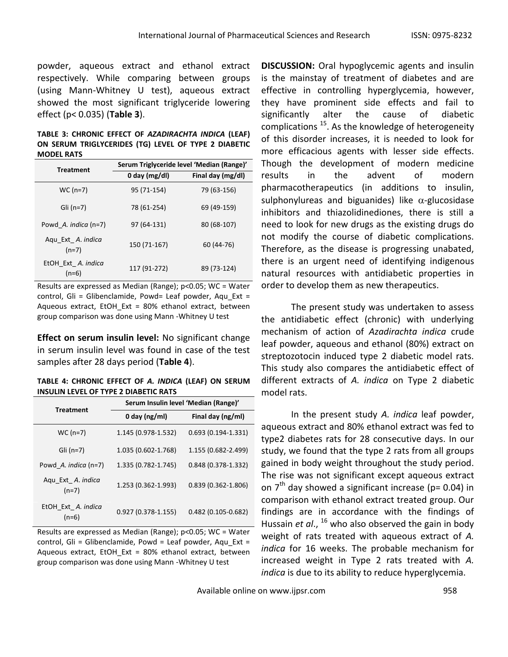powder, aqueous extract and ethanol extract respectively. While comparing between groups (using Mann-Whitney U test), aqueous extract showed the most significant triglyceride lowering effect (p< 0.035) (**Table 3**).

## **TABLE 3: CHRONIC EFFECT OF** *AZADIRACHTA INDICA* **(LEAF) ON SERUM TRIGLYCERIDES (TG) LEVEL OF TYPE 2 DIABETIC MODEL RATS**

| <b>Treatment</b>                | Serum Triglyceride level 'Median (Range)' |                   |  |
|---------------------------------|-------------------------------------------|-------------------|--|
|                                 | 0 day $(mg/dl)$                           | Final day (mg/dl) |  |
| $WC (n=7)$                      | 95 (71-154)                               | 79 (63-156)       |  |
| Gli $(n=7)$                     | 78 (61-254)                               | 69 (49-159)       |  |
| Powd A. <i>indica</i> ( $n=7$ ) | 97 (64-131)                               | 80 (68-107)       |  |
| Aqu Ext A. indica<br>$(n=7)$    | 150 (71-167)                              | 60 (44-76)        |  |
| EtOH Ext A. indica<br>$(n=6)$   | 117 (91-272)                              | 89 (73-124)       |  |

Results are expressed as Median (Range); p<0.05; WC = Water control, Gli = Glibenclamide, Powd= Leaf powder, Aqu\_Ext = Aqueous extract, EtOH\_Ext = 80% ethanol extract, between group comparison was done using Mann -Whitney U test

**Effect on serum insulin level:** No significant change in serum insulin level was found in case of the test samples after 28 days period (**Table 4**).

| TABLE 4: CHRONIC EFFECT OF A. INDICA (LEAF) ON SERUM |  |
|------------------------------------------------------|--|
| INSULIN LEVEL OF TYPE 2 DIABETIC RATS                |  |

| <b>Treatment</b>              | Serum Insulin level 'Median (Range)' |                        |  |
|-------------------------------|--------------------------------------|------------------------|--|
|                               | 0 day ( $ng/ml$ )                    | Final day (ng/ml)      |  |
| $WC (n=7)$                    | 1.145 (0.978-1.532)                  | $0.693(0.194 - 1.331)$ |  |
| Gli $(n=7)$                   | 1.035 (0.602-1.768)                  | 1.155 (0.682-2.499)    |  |
| Powd A. indica $(n=7)$        | 1.335 (0.782-1.745)                  | $0.848(0.378-1.332)$   |  |
| Aqu Ext A. indica<br>$(n=7)$  | 1.253 (0.362-1.993)                  | $0.839(0.362 - 1.806)$ |  |
| EtOH Ext A. indica<br>$(n=6)$ | $0.927(0.378 - 1.155)$               | $0.482(0.105 - 0.682)$ |  |

Results are expressed as Median (Range); p<0.05; WC = Water control, Gli = Glibenclamide, Powd = Leaf powder, Aqu Ext = Aqueous extract, EtOH\_Ext = 80% ethanol extract, between group comparison was done using Mann -Whitney U test

**DISCUSSION:** Oral hypoglycemic agents and insulin is the mainstay of treatment of diabetes and are effective in controlling hyperglycemia, however, they have prominent side effects and fail to significantly alter the cause of diabetic complications  $^{15}$ . As the knowledge of heterogeneity of this disorder increases, it is needed to look for more efficacious agents with lesser side effects. Though the development of modern medicine results in the advent of modern pharmacotherapeutics (in additions to insulin, sulphonylureas and biguanides) like  $\alpha$ -glucosidase inhibitors and thiazolidinediones, there is still a need to look for new drugs as the existing drugs do not modify the course of diabetic complications. Therefore, as the disease is progressing unabated, there is an urgent need of identifying indigenous natural resources with antidiabetic properties in order to develop them as new therapeutics.

The present study was undertaken to assess the antidiabetic effect (chronic) with underlying mechanism of action of *Azadirachta indica* crude leaf powder, aqueous and ethanol (80%) extract on streptozotocin induced type 2 diabetic model rats. This study also compares the antidiabetic effect of different extracts of *A. indica* on Type 2 diabetic model rats.

In the present study *A. indica* leaf powder, aqueous extract and 80% ethanol extract was fed to type2 diabetes rats for 28 consecutive days. In our study, we found that the type 2 rats from all groups gained in body weight throughout the study period. The rise was not significant except aqueous extract on  $7<sup>th</sup>$  day showed a significant increase (p= 0.04) in comparison with ethanol extract treated group. Our findings are in accordance with the findings of Hussain *et al*., <sup>16</sup> who also observed the gain in body weight of rats treated with aqueous extract of *A. indica* for 16 weeks. The probable mechanism for increased weight in Type 2 rats treated with *A. indica* is due to its ability to reduce hyperglycemia.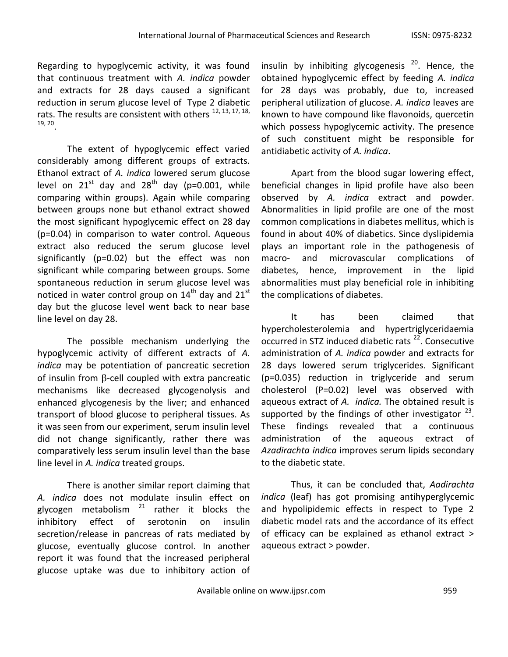Regarding to hypoglycemic activity, it was found that continuous treatment with *A. indica* powder and extracts for 28 days caused a significant reduction in serum glucose level of Type 2 diabetic rats. The results are consistent with others <sup>12, 13, 17, 18,</sup> 19, 20 .

The extent of hypoglycemic effect varied considerably among different groups of extracts. Ethanol extract of *A. indica* lowered serum glucose level on  $21^{st}$  day and  $28^{th}$  day (p=0.001, while comparing within groups). Again while comparing between groups none but ethanol extract showed the most significant hypoglycemic effect on 28 day (p=0.04) in comparison to water control. Aqueous extract also reduced the serum glucose level significantly (p=0.02) but the effect was non significant while comparing between groups. Some spontaneous reduction in serum glucose level was noticed in water control group on  $14<sup>th</sup>$  day and  $21<sup>st</sup>$ day but the glucose level went back to near base line level on day 28.

The possible mechanism underlying the hypoglycemic activity of different extracts of *A. indica* may be potentiation of pancreatic secretion of insulin from  $\beta$ -cell coupled with extra pancreatic mechanisms like decreased glycogenolysis and enhanced glycogenesis by the liver; and enhanced transport of blood glucose to peripheral tissues. As it was seen from our experiment, serum insulin level did not change significantly, rather there was comparatively less serum insulin level than the base line level in *A. indica* treated groups.

There is another similar report claiming that *A. indica* does not modulate insulin effect on glycogen metabolism  $21$  rather it blocks the inhibitory effect of serotonin on insulin secretion/release in pancreas of rats mediated by glucose, eventually glucose control. In another report it was found that the increased peripheral glucose uptake was due to inhibitory action of insulin by inhibiting glycogenesis  $20$ . Hence, the obtained hypoglycemic effect by feeding *A. indica* for 28 days was probably, due to, increased peripheral utilization of glucose. *A. indica* leaves are known to have compound like flavonoids, quercetin which possess hypoglycemic activity. The presence of such constituent might be responsible for antidiabetic activity of *A. indica*.

Apart from the blood sugar lowering effect, beneficial changes in lipid profile have also been observed by *A. indica* extract and powder. Abnormalities in lipid profile are one of the most common complications in diabetes mellitus, which is found in about 40% of diabetics. Since dyslipidemia plays an important role in the pathogenesis of macro- and microvascular complications of diabetes, hence, improvement in the lipid abnormalities must play beneficial role in inhibiting the complications of diabetes.

It has been claimed that hypercholesterolemia and hypertriglyceridaemia occurred in STZ induced diabetic rats<sup>22</sup>. Consecutive administration of *A. indica* powder and extracts for 28 days lowered serum triglycerides. Significant (p=0.035) reduction in triglyceride and serum cholesterol (P=0.02) level was observed with aqueous extract of *A. indica.* The obtained result is supported by the findings of other investigator  $^{23}$ . These findings revealed that a continuous administration of the aqueous extract of *Azadirachta indica* improves serum lipids secondary to the diabetic state.

Thus, it can be concluded that, *Aadirachta indica* (leaf) has got promising antihyperglycemic and hypolipidemic effects in respect to Type 2 diabetic model rats and the accordance of its effect of efficacy can be explained as ethanol extract > aqueous extract > powder.